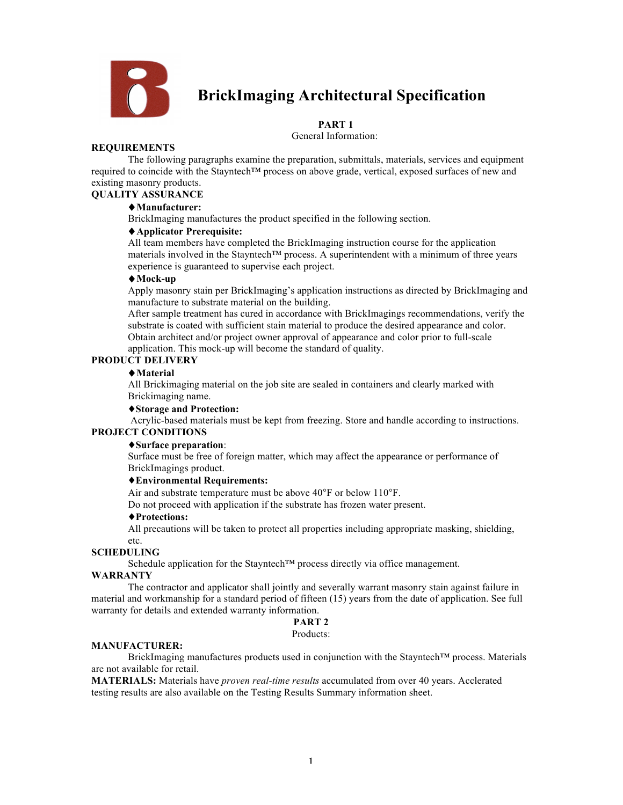

# **BrickImaging Architectural Specification**

# **PART 1**

General Information:

#### **REQUIREMENTS**

The following paragraphs examine the preparation, submittals, materials, services and equipment required to coincide with the Stayntech™ process on above grade, vertical, exposed surfaces of new and existing masonry products.

# **QUALITY ASSURANCE**

# ♦**Manufacturer:**

BrickImaging manufactures the product specified in the following section.

#### ♦**Applicator Prerequisite:**

All team members have completed the BrickImaging instruction course for the application materials involved in the Stayntech™ process. A superintendent with a minimum of three years experience is guaranteed to supervise each project.

#### ♦**Mock-up**

Apply masonry stain per BrickImaging's application instructions as directed by BrickImaging and manufacture to substrate material on the building.

After sample treatment has cured in accordance with BrickImagings recommendations, verify the substrate is coated with sufficient stain material to produce the desired appearance and color. Obtain architect and/or project owner approval of appearance and color prior to full-scale

application. This mock-up will become the standard of quality.

## **PRODUCT DELIVERY**

#### ♦**Material**

All Brickimaging material on the job site are sealed in containers and clearly marked with Brickimaging name.

# ♦**Storage and Protection:**

Acrylic-based materials must be kept from freezing. Store and handle according to instructions. **PROJECT CONDITIONS**

#### ♦**Surface preparation**:

Surface must be free of foreign matter, which may affect the appearance or performance of BrickImagings product.

## ♦**Environmental Requirements:**

Air and substrate temperature must be above 40°F or below 110°F.

Do not proceed with application if the substrate has frozen water present.

#### ♦**Protections:**

All precautions will be taken to protect all properties including appropriate masking, shielding, etc.

#### **SCHEDULING**

Schedule application for the Stayntech™ process directly via office management.

#### **WARRANTY**

The contractor and applicator shall jointly and severally warrant masonry stain against failure in material and workmanship for a standard period of fifteen (15) years from the date of application. See full warranty for details and extended warranty information.

# **PART 2**

#### Products:

#### **MANUFACTURER:**

BrickImaging manufactures products used in conjunction with the Stayntech™ process. Materials are not available for retail.

**MATERIALS:** Materials have *proven real-time results* accumulated from over 40 years. Acclerated testing results are also available on the Testing Results Summary information sheet.